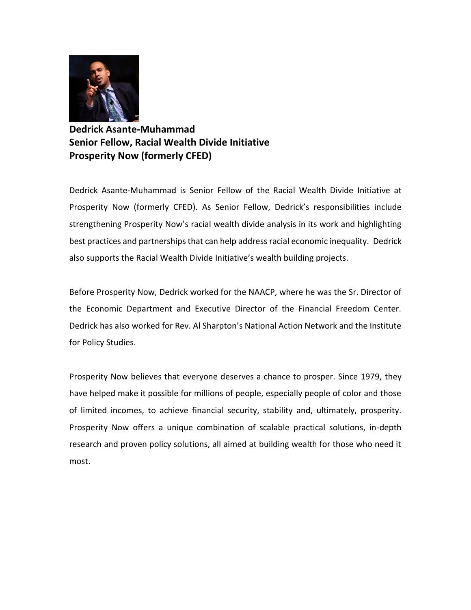

**Dedrick Asante-Muhammad Senior Fellow, Racial Wealth Divide Initiative Prosperity Now (formerly CFED)**

Dedrick Asante-Muhammad is Senior Fellow of the Racial Wealth Divide Initiative at Prosperity Now (formerly CFED). As Senior Fellow, Dedrick's responsibilities include strengthening Prosperity Now's racial wealth divide analysis in its work and highlighting best practices and partnerships that can help address racial economic inequality. Dedrick also supports the Racial Wealth Divide Initiative's wealth building projects.

Before Prosperity Now, Dedrick worked for the NAACP, where he was the Sr. Director of the Economic Department and Executive Director of the Financial Freedom Center. Dedrick has also worked for Rev. Al Sharpton's National Action Network and the Institute for Policy Studies.

[Prosperity Now](https://prosperitynow.org/) believes that everyone deserves a chance to prosper. Since 1979, they have helped make it possible for millions of people, especially people of color and those of limited incomes, to achieve financial security, stability and, ultimately, prosperity. Prosperity Now offers a unique combination of scalable practical solutions, in-depth research and proven policy solutions, all aimed at building wealth for those who need it most.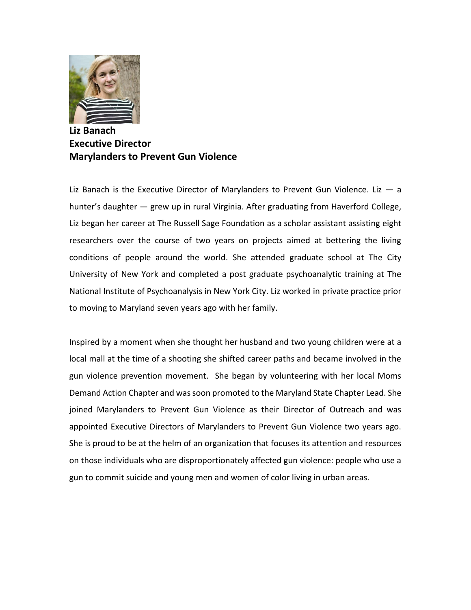

**Liz Banach Executive Director Marylanders to Prevent Gun Violence**

Liz Banach is the Executive Director of Marylanders to Prevent Gun Violence. Liz  $-$  a hunter's daughter — grew up in rural Virginia. After graduating from Haverford College, Liz began her career at The Russell Sage Foundation as a scholar assistant assisting eight researchers over the course of two years on projects aimed at bettering the living conditions of people around the world. She attended graduate school at The City University of New York and completed a post graduate psychoanalytic training at The National Institute of Psychoanalysis in New York City. Liz worked in private practice prior to moving to Maryland seven years ago with her family.

Inspired by a moment when she thought her husband and two young children were at a local mall at the time of a shooting she shifted career paths and became involved in the gun violence prevention movement. She began by volunteering with her local Moms Demand Action Chapter and was soon promoted to the Maryland State Chapter Lead. She joined Marylanders to Prevent Gun Violence as their Director of Outreach and was appointed Executive Directors of Marylanders to Prevent Gun Violence two years ago. She is proud to be at the helm of an organization that focuses its attention and resources on those individuals who are disproportionately affected gun violence: people who use a gun to commit suicide and young men and women of color living in urban areas.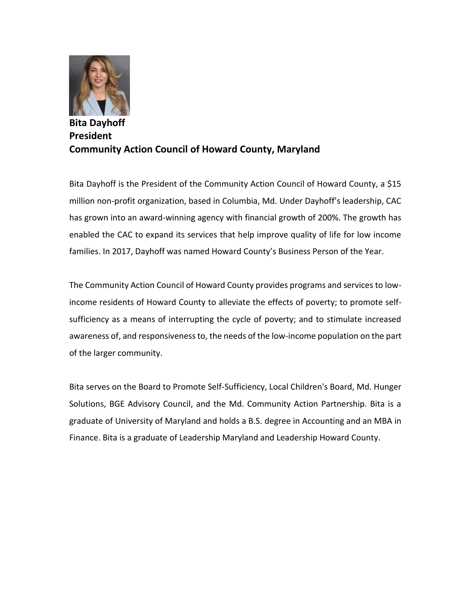

## **Bita Dayhoff President Community Action Council of Howard County, Maryland**

Bita Dayhoff is the President of the Community Action Council of Howard County, a \$15 million non-profit organization, based in Columbia, Md. Under Dayhoff's leadership, CAC has grown into an award-winning agency with financial growth of 200%. The growth has enabled the CAC to expand its services that help improve quality of life for low income families. In 2017, Dayhoff was named Howard County's Business Person of the Year.

The Community Action Council of Howard County provides programs and services to lowincome residents of Howard County to alleviate the effects of poverty; to promote selfsufficiency as a means of interrupting the cycle of poverty; and to stimulate increased awareness of, and responsiveness to, the needs of the low-income population on the part of the larger community.

Bita serves on the Board to Promote Self-Sufficiency, Local Children's Board, Md. Hunger Solutions, BGE Advisory Council, and the Md. Community Action Partnership. Bita is a graduate of University of Maryland and holds a B.S. degree in Accounting and an MBA in Finance. Bita is a graduate of Leadership Maryland and Leadership Howard County.